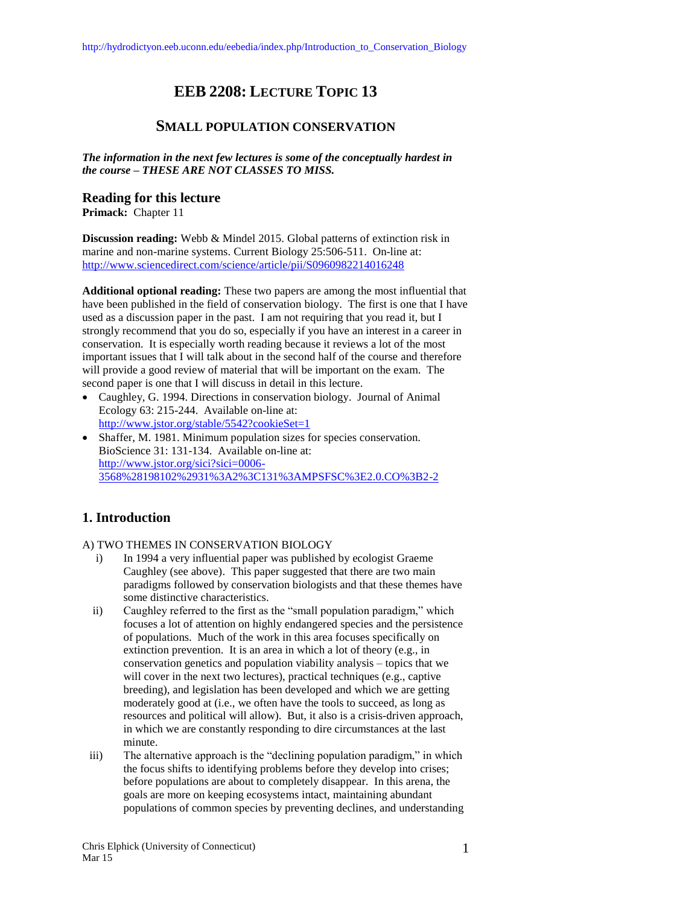# **EEB 2208: LECTURE TOPIC 13**

# **SMALL POPULATION CONSERVATION**

*The information in the next few lectures is some of the conceptually hardest in the course – THESE ARE NOT CLASSES TO MISS.* 

### **Reading for this lecture**

**Primack:** Chapter 11

**Discussion reading:** Webb & Mindel 2015. Global patterns of extinction risk in marine and non-marine systems. Current Biology 25:506-511. On-line at: <http://www.sciencedirect.com/science/article/pii/S0960982214016248>

**Additional optional reading:** These two papers are among the most influential that have been published in the field of conservation biology. The first is one that I have used as a discussion paper in the past. I am not requiring that you read it, but I strongly recommend that you do so, especially if you have an interest in a career in conservation. It is especially worth reading because it reviews a lot of the most important issues that I will talk about in the second half of the course and therefore will provide a good review of material that will be important on the exam. The second paper is one that I will discuss in detail in this lecture.

- Caughley, G. 1994. Directions in conservation biology. Journal of Animal Ecology 63: 215-244. Available on-line at: <http://www.jstor.org/stable/5542?cookieSet=1>
- Shaffer, M. 1981. Minimum population sizes for species conservation. BioScience 31: 131-134. Available on-line at: [http://www.jstor.org/sici?sici=0006-](http://www.jstor.org/sici?sici=0006-3568%28198102%2931%3A2%3C131%3AMPSFSC%3E2.0.CO%3B2-2) [3568%28198102%2931%3A2%3C131%3AMPSFSC%3E2.0.CO%3B2-2](http://www.jstor.org/sici?sici=0006-3568%28198102%2931%3A2%3C131%3AMPSFSC%3E2.0.CO%3B2-2)

# **1. Introduction**

#### A) TWO THEMES IN CONSERVATION BIOLOGY

- i) In 1994 a very influential paper was published by ecologist Graeme Caughley (see above). This paper suggested that there are two main paradigms followed by conservation biologists and that these themes have some distinctive characteristics.
- ii) Caughley referred to the first as the "small population paradigm," which focuses a lot of attention on highly endangered species and the persistence of populations. Much of the work in this area focuses specifically on extinction prevention. It is an area in which a lot of theory (e.g., in conservation genetics and population viability analysis – topics that we will cover in the next two lectures), practical techniques (e.g., captive breeding), and legislation has been developed and which we are getting moderately good at (i.e., we often have the tools to succeed, as long as resources and political will allow). But, it also is a crisis-driven approach, in which we are constantly responding to dire circumstances at the last minute.
- iii) The alternative approach is the "declining population paradigm," in which the focus shifts to identifying problems before they develop into crises; before populations are about to completely disappear. In this arena, the goals are more on keeping ecosystems intact, maintaining abundant populations of common species by preventing declines, and understanding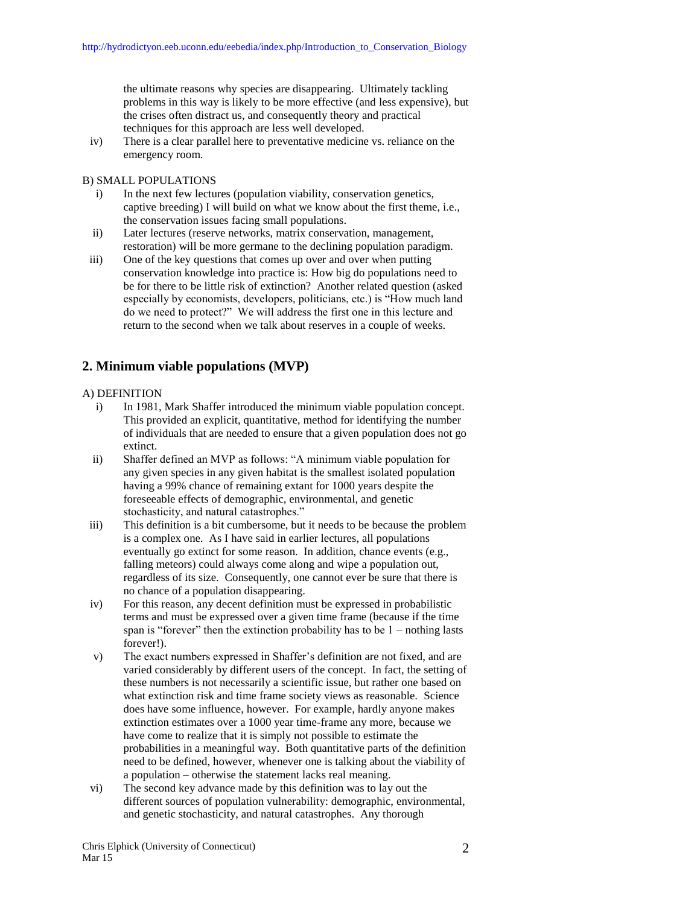the ultimate reasons why species are disappearing. Ultimately tackling problems in this way is likely to be more effective (and less expensive), but the crises often distract us, and consequently theory and practical techniques for this approach are less well developed.

iv) There is a clear parallel here to preventative medicine vs. reliance on the emergency room.

### B) SMALL POPULATIONS

- i) In the next few lectures (population viability, conservation genetics, captive breeding) I will build on what we know about the first theme, i.e., the conservation issues facing small populations.
- ii) Later lectures (reserve networks, matrix conservation, management, restoration) will be more germane to the declining population paradigm.
- iii) One of the key questions that comes up over and over when putting conservation knowledge into practice is: How big do populations need to be for there to be little risk of extinction? Another related question (asked especially by economists, developers, politicians, etc.) is "How much land do we need to protect?" We will address the first one in this lecture and return to the second when we talk about reserves in a couple of weeks.

# **2. Minimum viable populations (MVP)**

### A) DEFINITION

- i) In 1981, Mark Shaffer introduced the minimum viable population concept. This provided an explicit, quantitative, method for identifying the number of individuals that are needed to ensure that a given population does not go extinct.
- ii) Shaffer defined an MVP as follows: "A minimum viable population for any given species in any given habitat is the smallest isolated population having a 99% chance of remaining extant for 1000 years despite the foreseeable effects of demographic, environmental, and genetic stochasticity, and natural catastrophes."
- iii) This definition is a bit cumbersome, but it needs to be because the problem is a complex one. As I have said in earlier lectures, all populations eventually go extinct for some reason. In addition, chance events (e.g., falling meteors) could always come along and wipe a population out, regardless of its size. Consequently, one cannot ever be sure that there is no chance of a population disappearing.
- iv) For this reason, any decent definition must be expressed in probabilistic terms and must be expressed over a given time frame (because if the time span is "forever" then the extinction probability has to be 1 – nothing lasts forever!).
- v) The exact numbers expressed in Shaffer's definition are not fixed, and are varied considerably by different users of the concept. In fact, the setting of these numbers is not necessarily a scientific issue, but rather one based on what extinction risk and time frame society views as reasonable. Science does have some influence, however. For example, hardly anyone makes extinction estimates over a 1000 year time-frame any more, because we have come to realize that it is simply not possible to estimate the probabilities in a meaningful way. Both quantitative parts of the definition need to be defined, however, whenever one is talking about the viability of a population – otherwise the statement lacks real meaning.
- vi) The second key advance made by this definition was to lay out the different sources of population vulnerability: demographic, environmental, and genetic stochasticity, and natural catastrophes. Any thorough